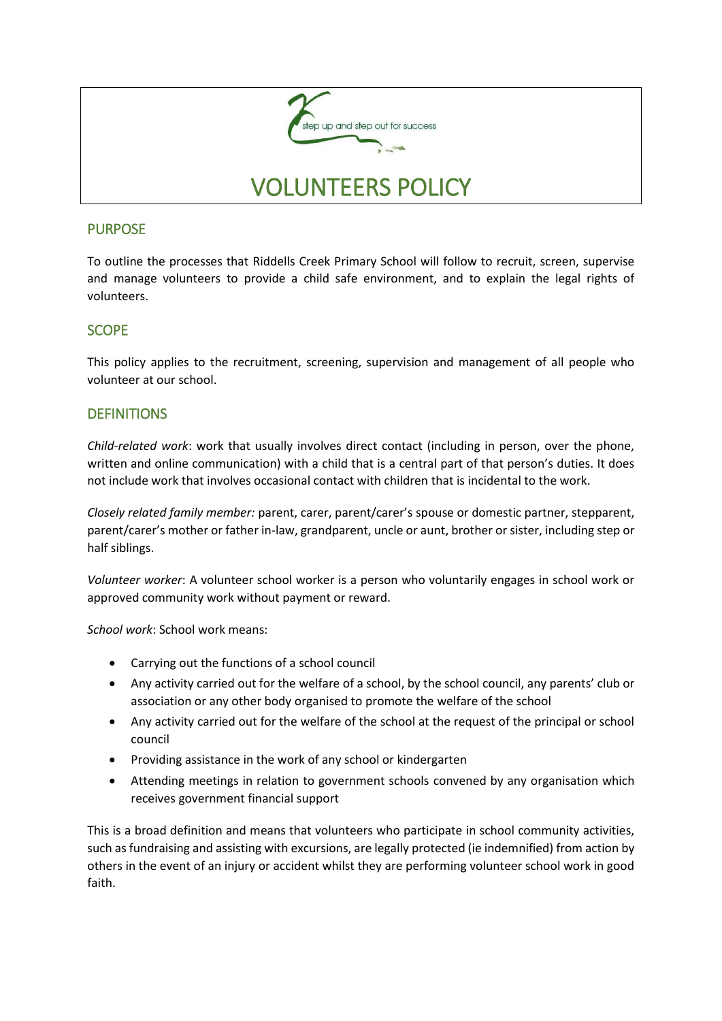

# PURPOSE

To outline the processes that Riddells Creek Primary School will follow to recruit, screen, supervise and manage volunteers to provide a child safe environment, and to explain the legal rights of volunteers.

# **SCOPE**

This policy applies to the recruitment, screening, supervision and management of all people who volunteer at our school.

## **DEFINITIONS**

*Child-related work*: work that usually involves direct contact (including in person, over the phone, written and online communication) with a child that is a central part of that person's duties. It does not include work that involves occasional contact with children that is incidental to the work.

*Closely related family member:* parent, carer, parent/carer's spouse or domestic partner, stepparent, parent/carer's mother or father in-law, grandparent, uncle or aunt, brother or sister, including step or half siblings.

*Volunteer worker*: A volunteer school worker is a person who voluntarily engages in school work or approved community work without payment or reward.

*School work*: School work means:

- Carrying out the functions of a school council
- Any activity carried out for the welfare of a school, by the school council, any parents' club or association or any other body organised to promote the welfare of the school
- Any activity carried out for the welfare of the school at the request of the principal or school council
- Providing assistance in the work of any school or kindergarten
- Attending meetings in relation to government schools convened by any organisation which receives government financial support

This is a broad definition and means that volunteers who participate in school community activities, such as fundraising and assisting with excursions, are legally protected (ie indemnified) from action by others in the event of an injury or accident whilst they are performing volunteer school work in good faith.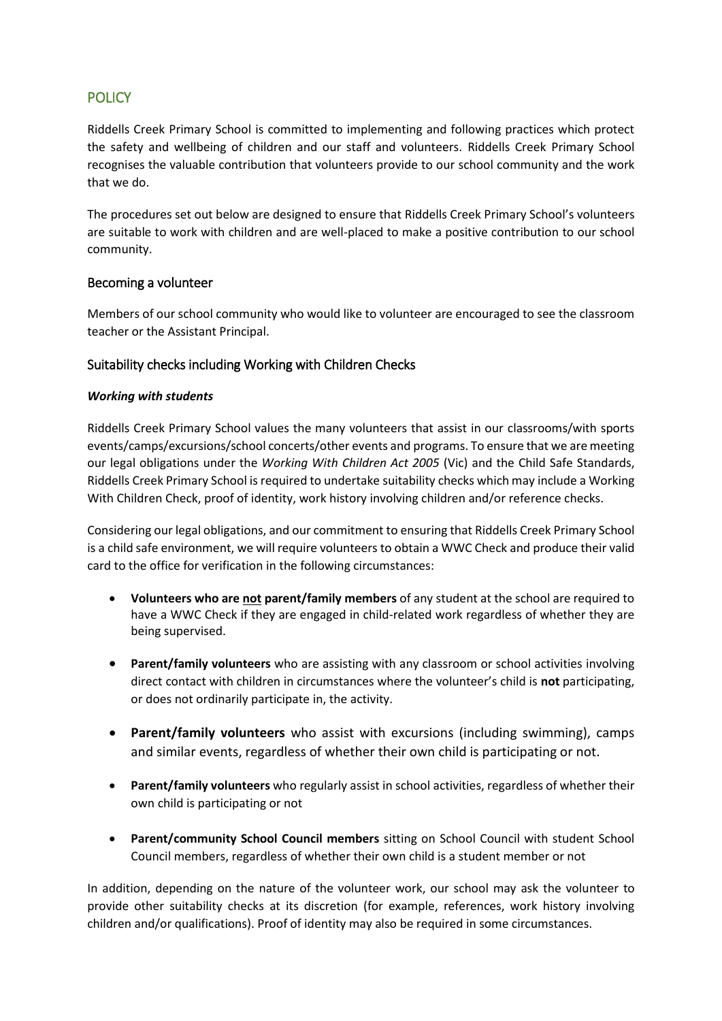# **POLICY**

Riddells Creek Primary School is committed to implementing and following practices which protect the safety and wellbeing of children and our staff and volunteers. Riddells Creek Primary School recognises the valuable contribution that volunteers provide to our school community and the work that we do.

The procedures set out below are designed to ensure that Riddells Creek Primary School's volunteers are suitable to work with children and are well-placed to make a positive contribution to our school community.

## Becoming a volunteer

Members of our school community who would like to volunteer are encouraged to see the classroom teacher or the Assistant Principal.

## Suitability checks including Working with Children Checks

## *Working with students*

Riddells Creek Primary School values the many volunteers that assist in our classrooms/with sports events/camps/excursions/school concerts/other events and programs. To ensure that we are meeting our legal obligations under the *Working With Children Act 2005* (Vic) and the Child Safe Standards, Riddells Creek Primary School is required to undertake suitability checks which may include a Working With Children Check, proof of identity, work history involving children and/or reference checks.

Considering our legal obligations, and our commitment to ensuring that Riddells Creek Primary School is a child safe environment, we will require volunteers to obtain a WWC Check and produce their valid card to the office for verification in the following circumstances:

- **Volunteers who are not parent/family members** of any student at the school are required to have a WWC Check if they are engaged in child-related work regardless of whether they are being supervised.
- **Parent/family volunteers** who are assisting with any classroom or school activities involving direct contact with children in circumstances where the volunteer's child is **not** participating, or does not ordinarily participate in, the activity.
- **Parent/family volunteers** who assist with excursions (including swimming), camps and similar events, regardless of whether their own child is participating or not.
- **Parent/family volunteers** who regularly assist in school activities, regardless of whether their own child is participating or not
- **Parent/community School Council members** sitting on School Council with student School Council members, regardless of whether their own child is a student member or not

In addition, depending on the nature of the volunteer work, our school may ask the volunteer to provide other suitability checks at its discretion (for example, references, work history involving children and/or qualifications). Proof of identity may also be required in some circumstances.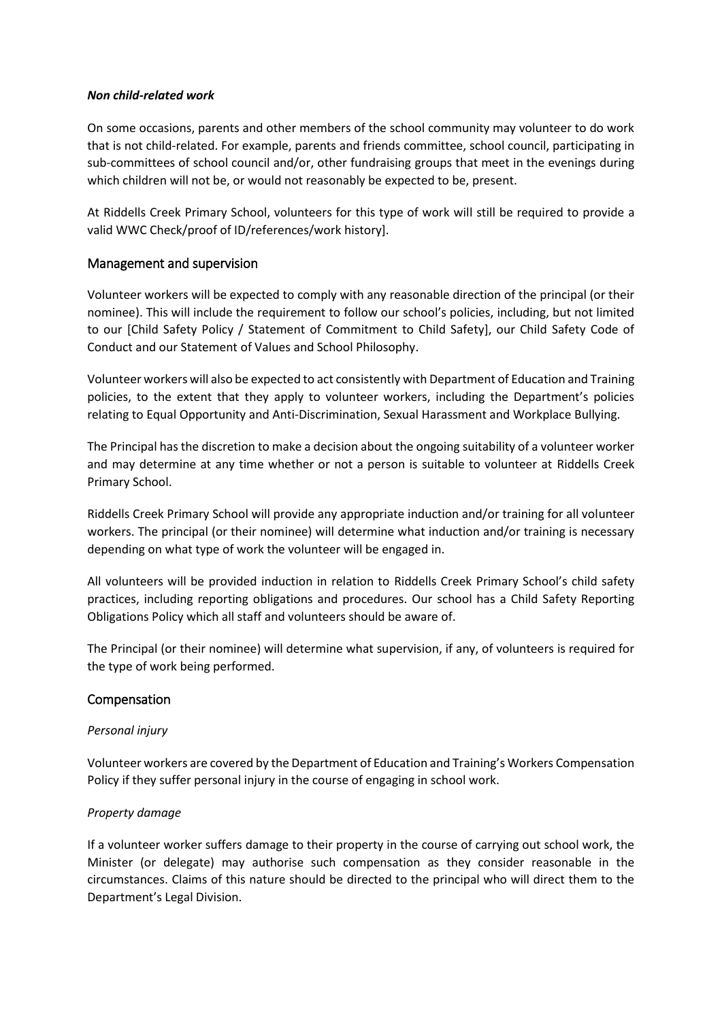### *Non child-related work*

On some occasions, parents and other members of the school community may volunteer to do work that is not child-related. For example, parents and friends committee, school council, participating in sub-committees of school council and/or, other fundraising groups that meet in the evenings during which children will not be, or would not reasonably be expected to be, present.

At Riddells Creek Primary School, volunteers for this type of work will still be required to provide a valid WWC Check/proof of ID/references/work history].

## Management and supervision

Volunteer workers will be expected to comply with any reasonable direction of the principal (or their nominee). This will include the requirement to follow our school's policies, including, but not limited to our [Child Safety Policy / Statement of Commitment to Child Safety], our Child Safety Code of Conduct and our Statement of Values and School Philosophy.

Volunteer workers will also be expected to act consistently with Department of Education and Training policies, to the extent that they apply to volunteer workers, including the Department's policies relating to Equal Opportunity and Anti-Discrimination, Sexual Harassment and Workplace Bullying.

The Principal has the discretion to make a decision about the ongoing suitability of a volunteer worker and may determine at any time whether or not a person is suitable to volunteer at Riddells Creek Primary School.

Riddells Creek Primary School will provide any appropriate induction and/or training for all volunteer workers. The principal (or their nominee) will determine what induction and/or training is necessary depending on what type of work the volunteer will be engaged in.

All volunteers will be provided induction in relation to Riddells Creek Primary School's child safety practices, including reporting obligations and procedures. Our school has a Child Safety Reporting Obligations Policy which all staff and volunteers should be aware of.

The Principal (or their nominee) will determine what supervision, if any, of volunteers is required for the type of work being performed.

## Compensation

### *Personal injury*

Volunteer workers are covered by the Department of Education and Training's Workers Compensation Policy if they suffer personal injury in the course of engaging in school work.

### *Property damage*

If a volunteer worker suffers damage to their property in the course of carrying out school work, the Minister (or delegate) may authorise such compensation as they consider reasonable in the circumstances. Claims of this nature should be directed to the principal who will direct them to the Department's Legal Division.